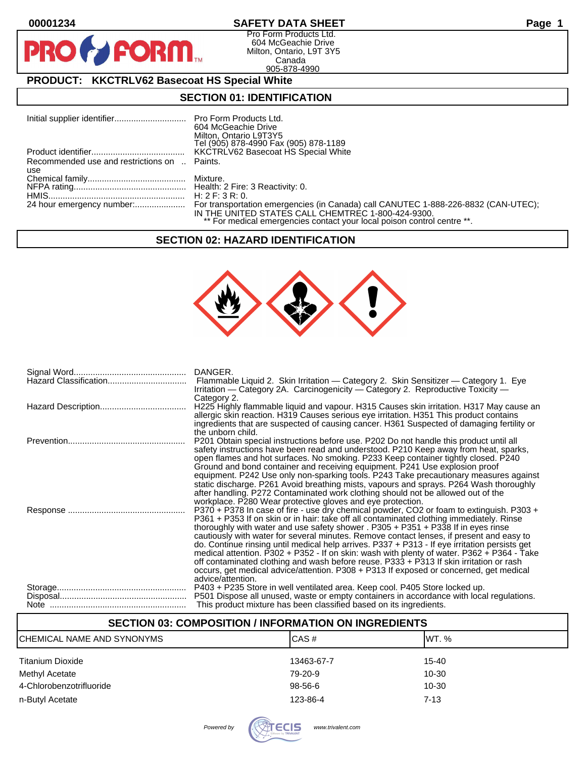$\bullet$ 

**PI** 

#### **00001234 SAFETY DATA SHEET Page 1**

Pro Form Products Ltd. 604 McGeachie Drive Milton, Ontario, L9T 3Y5 Canada 905-878-4990

### **PRODUCT: KKCTRLV62 Basecoat HS Special White**

**FORM** 

#### **SECTION 01: IDENTIFICATION**

|                                              | 604 McGeachie Drive                                                     |
|----------------------------------------------|-------------------------------------------------------------------------|
|                                              | Milton, Ontario L9T3Y5                                                  |
|                                              | Tel (905) 878-4990 Fax (905) 878-1189                                   |
|                                              | KKCTRLV62 Basecoat HS Special White                                     |
| Recommended use and restrictions on  Paints. |                                                                         |
| use                                          |                                                                         |
|                                              |                                                                         |
|                                              |                                                                         |
|                                              | H: 2 F: 3 R: 0.                                                         |
|                                              |                                                                         |
|                                              | IN THE UNITED STATES CALL CHEMTREC 1-800-424-9300.                      |
|                                              | ** For medical emergencies contact your local poison control centre **. |

#### **SECTION 02: HAZARD IDENTIFICATION**



| DANGER.<br>Flammable Liquid 2. Skin Irritation — Category 2. Skin Sensitizer — Category 1. Eye<br>Irritation — Category 2A. Carcinogenicity — Category 2. Reproductive Toxicity —                                                                                                                                                                                                                                                                                                                                                                                                                                                                                                                                                                                                                                                            |
|----------------------------------------------------------------------------------------------------------------------------------------------------------------------------------------------------------------------------------------------------------------------------------------------------------------------------------------------------------------------------------------------------------------------------------------------------------------------------------------------------------------------------------------------------------------------------------------------------------------------------------------------------------------------------------------------------------------------------------------------------------------------------------------------------------------------------------------------|
| Category 2.<br>H225 Highly flammable liquid and vapour. H315 Causes skin irritation. H317 May cause an<br>allergic skin reaction. H319 Causes serious eye irritation. H351 This product contains<br>ingredients that are suspected of causing cancer. H361 Suspected of damaging fertility or                                                                                                                                                                                                                                                                                                                                                                                                                                                                                                                                                |
| the unborn child.<br>P201 Obtain special instructions before use. P202 Do not handle this product until all<br>safety instructions have been read and understood. P210 Keep away from heat, sparks,<br>open flames and hot surfaces. No smoking. P233 Keep container tightly closed. P240<br>Ground and bond container and receiving equipment. P241 Use explosion proof<br>equipment. P242 Use only non-sparking tools. P243 Take precautionary measures against<br>static discharge. P261 Avoid breathing mists, vapours and sprays. P264 Wash thoroughly<br>after handling. P272 Contaminated work clothing should not be allowed out of the                                                                                                                                                                                              |
| workplace. P280 Wear protective gloves and eye protection.<br>P370 + P378 In case of fire - use dry chemical powder, CO2 or foam to extinguish. P303 +<br>P361 + P353 If on skin or in hair: take off all contaminated clothing immediately. Rinse<br>thoroughly with water and use safety shower . P305 + P351 + P338 If in eyes rinse<br>cautiously with water for several minutes. Remove contact lenses, if present and easy to<br>do. Continue rinsing until medical help arrives. P337 + P313 - If eye irritation persists get<br>medical attention. P302 + P352 - If on skin: wash with plenty of water. P362 + P364 - Take<br>off contaminated clothing and wash before reuse. P333 + P313 If skin irritation or rash<br>occurs, get medical advice/attention. P308 + P313 If exposed or concerned, get medical<br>advice/attention. |
| P403 + P235 Store in well ventilated area. Keep cool. P405 Store locked up.                                                                                                                                                                                                                                                                                                                                                                                                                                                                                                                                                                                                                                                                                                                                                                  |
| P501 Dispose all unused, waste or empty containers in accordance with local regulations.                                                                                                                                                                                                                                                                                                                                                                                                                                                                                                                                                                                                                                                                                                                                                     |
| This product mixture has been classified based on its ingredients.                                                                                                                                                                                                                                                                                                                                                                                                                                                                                                                                                                                                                                                                                                                                                                           |

## **SECTION 03: COMPOSITION / INFORMATION ON INGREDIENTS** CHEMICAL NAME AND SYNONYMS CHEMICAL NAME AND SYNONYMS Titanium Dioxide 13463-67-7 15-40 Methyl Acetate 10-30 and 10-30 and 10-30 and 10-30 and 10-30 and 10-30 and 10-30 and 10-30 and 10-30 and 10-30 4-Chlorobenzotrifluoride 98-56-6 10-30 n-Butyl Acetate 7-13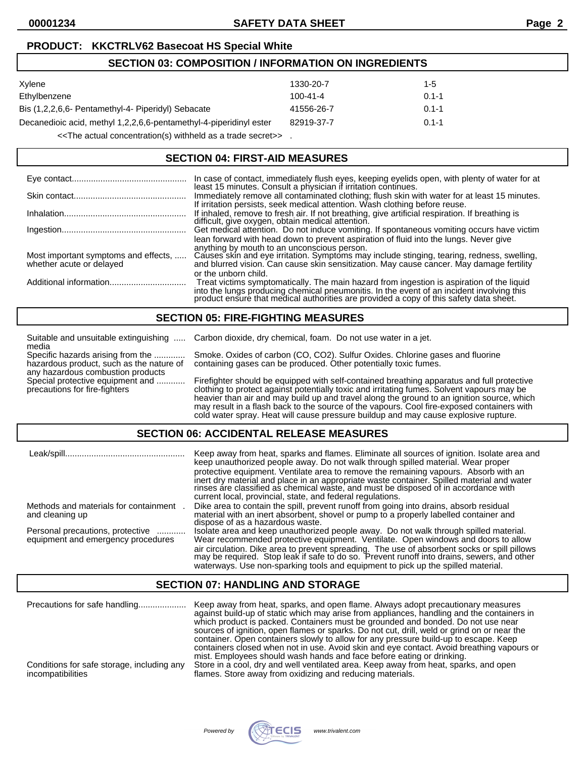#### **PRODUCT: KKCTRLV62 Basecoat HS Special White**

## **SECTION 03: COMPOSITION / INFORMATION ON INGREDIENTS**

| Xylene                                                             | 1330-20-7      | 1-5       |
|--------------------------------------------------------------------|----------------|-----------|
| Ethylbenzene                                                       | $100 - 41 - 4$ | $0.1 - 1$ |
| Bis (1,2,2,6,6- Pentamethyl-4- Piperidyl) Sebacate                 | 41556-26-7     | $0.1 - 1$ |
| Decanedioic acid, methyl 1,2,2,6,6-pentamethyl-4-piperidinyl ester | 82919-37-7     | $0.1 - 1$ |
|                                                                    |                |           |

<<The actual concentration(s) withheld as a trade secret>> .

## **SECTION 04: FIRST-AID MEASURES**

|                                                                  | In case of contact, immediately flush eyes, keeping eyelids open, with plenty of water for at least 15 minutes. Consult a physician if irritation continues.                                                                                                                                                                                           |
|------------------------------------------------------------------|--------------------------------------------------------------------------------------------------------------------------------------------------------------------------------------------------------------------------------------------------------------------------------------------------------------------------------------------------------|
|                                                                  | Immediately remove all contaminated clothing; flush skin with water for at least 15 minutes.<br>If irritation persists, seek medical attention. Wash clothing before reuse.                                                                                                                                                                            |
|                                                                  | If inhaled, remove to fresh air. If not breathing, give artificial respiration. If breathing is difficult, give oxygen, obtain medical attention.                                                                                                                                                                                                      |
|                                                                  | Get medical attention. Do not induce vomiting. If spontaneous vomiting occurs have victim                                                                                                                                                                                                                                                              |
| Most important symptoms and effects,<br>whether acute or delayed | lean forward with head down to prevent aspiration of fluid into the lungs. Never give<br>anything by mouth to an unconscious person.<br>Causes skin and eye irritation. Symptoms may include stinging, tearing, redness, swelling,<br>and blurred vision. Can cause skin sensitization. May cause cancer. May damage fertility<br>or the unborn child. |
|                                                                  | Treat victims symptomatically. The main hazard from ingestion is aspiration of the liquid<br>into the lungs producing chemical pneumonitis. In the event of an incident involving this product ensure that medical authorities are provided a copy of this safety data sheet.                                                                          |

### **SECTION 05: FIRE-FIGHTING MEASURES**

|                                                                               | Suitable and unsuitable extinguishing  Carbon dioxide, dry chemical, foam. Do not use water in a jet. |
|-------------------------------------------------------------------------------|-------------------------------------------------------------------------------------------------------|
| media                                                                         |                                                                                                       |
| Specific hazards arising from the                                             | Smoke. Oxides of carbon (CO, CO2). Sulfur Oxides. Chlorine gases and fluorine                         |
| hazardous product, such as the nature of<br>any hazardous combustion products | containing gases can be produced. Other potentially toxic fumes.                                      |
| Special protective equipment and                                              | Firefighter should be equipped with self-contained breathing apparatus and full protective            |
| precautions for fire-fighters                                                 | clothing to protect against potentially toxic and irritating fumes. Solvent vapours may be            |
|                                                                               | heavier than air and may build up and travel along the ground to an ignition source, which            |
|                                                                               | may result in a flash back to the source of the vapours. Cool fire-exposed containers with            |
|                                                                               | cold water spray. Heat will cause pressure buildup and may cause explosive rupture.                   |
|                                                                               |                                                                                                       |

#### **SECTION 06: ACCIDENTAL RELEASE MEASURES**

|                                                                             | Keep away from heat, sparks and flames. Eliminate all sources of ignition. Isolate area and<br>keep unauthorized people away. Do not walk through spilled material. Wear proper<br>protective equipment. Ventilate area to remove the remaining vapours. Absorb with an<br>inert dry material and place in an appropriate waste container. Spilled material and water<br>rinses are classified as chemical waste, and must be disposed of in accordance with<br>current local, provincial, state, and federal regulations. |
|-----------------------------------------------------------------------------|----------------------------------------------------------------------------------------------------------------------------------------------------------------------------------------------------------------------------------------------------------------------------------------------------------------------------------------------------------------------------------------------------------------------------------------------------------------------------------------------------------------------------|
| Methods and materials for containment<br>and cleaning up                    | Dike area to contain the spill, prevent runoff from going into drains, absorb residual<br>material with an inert absorbent, shovel or pump to a properly labelled container and<br>dispose of as a hazardous waste.                                                                                                                                                                                                                                                                                                        |
| Personal precautions, protective<br>.<br>equipment and emergency procedures | Isolate area and keep unauthorized people away. Do not walk through spilled material.<br>Wear recommended protective equipment. Ventilate. Open windows and doors to allow<br>air circulation. Dike area to prevent spreading. The use of absorbent socks or spill pillows<br>may be required. Stop leak if safe to do so. Prevent runoff into drains, sewers, and other<br>waterways. Use non-sparking tools and equipment to pick up the spilled material.                                                               |

#### **SECTION 07: HANDLING AND STORAGE**

| Precautions for safe handling<br>Conditions for safe storage, including any<br>incompatibilities | Keep away from heat, sparks, and open flame. Always adopt precautionary measures<br>against build-up of static which may arise from appliances, handling and the containers in<br>which product is packed. Containers must be grounded and bonded. Do not use near<br>sources of ignition, open flames or sparks. Do not cut, drill, weld or grind on or near the<br>container. Open containers slowly to allow for any pressure build-up to escape. Keep<br>containers closed when not in use. Avoid skin and eye contact. Avoid breathing vapours or<br>mist. Employees should wash hands and face before eating or drinking.<br>Store in a cool, dry and well ventilated area. Keep away from heat, sparks, and open |
|--------------------------------------------------------------------------------------------------|-------------------------------------------------------------------------------------------------------------------------------------------------------------------------------------------------------------------------------------------------------------------------------------------------------------------------------------------------------------------------------------------------------------------------------------------------------------------------------------------------------------------------------------------------------------------------------------------------------------------------------------------------------------------------------------------------------------------------|
|                                                                                                  | flames. Store away from oxidizing and reducing materials.                                                                                                                                                                                                                                                                                                                                                                                                                                                                                                                                                                                                                                                               |

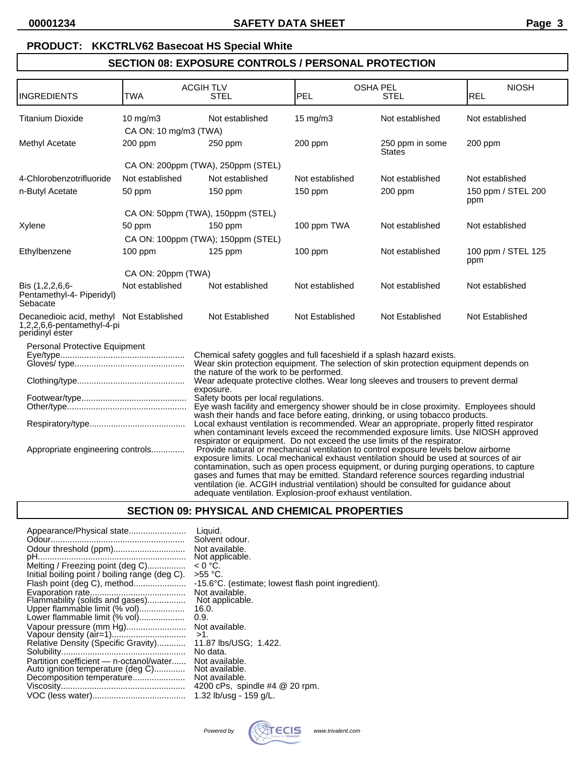## **PRODUCT: KKCTRLV62 Basecoat HS Special White**

## **SECTION 08: EXPOSURE CONTROLS / PERSONAL PROTECTION**

| <b>INGREDIENTS</b>                                                                                                                                                                                                                                                                                                                                                                                                                                                                                                                                          | <b>TWA</b>                           | <b>ACGIH TLV</b><br><b>STEL</b>                                                                                                                                                                                                                             | <b>OSHA PEL</b><br><b>PEL</b><br><b>STEL</b> |                           | <b>NIOSH</b><br><b>REL</b> |
|-------------------------------------------------------------------------------------------------------------------------------------------------------------------------------------------------------------------------------------------------------------------------------------------------------------------------------------------------------------------------------------------------------------------------------------------------------------------------------------------------------------------------------------------------------------|--------------------------------------|-------------------------------------------------------------------------------------------------------------------------------------------------------------------------------------------------------------------------------------------------------------|----------------------------------------------|---------------------------|----------------------------|
| Titanium Dioxide                                                                                                                                                                                                                                                                                                                                                                                                                                                                                                                                            | 10 mg/m $3$<br>CA ON: 10 mg/m3 (TWA) | Not established                                                                                                                                                                                                                                             | $15 \text{ mg/m}$                            | Not established           |                            |
| Methyl Acetate                                                                                                                                                                                                                                                                                                                                                                                                                                                                                                                                              | 200 ppm                              | 250 ppm                                                                                                                                                                                                                                                     | 200 ppm                                      | 250 ppm in some<br>States | 200 ppm                    |
|                                                                                                                                                                                                                                                                                                                                                                                                                                                                                                                                                             |                                      | CA ON: 200ppm (TWA), 250ppm (STEL)                                                                                                                                                                                                                          |                                              |                           |                            |
| 4-Chlorobenzotrifluoride                                                                                                                                                                                                                                                                                                                                                                                                                                                                                                                                    | Not established                      | Not established                                                                                                                                                                                                                                             | Not established                              | Not established           | Not established            |
| n-Butyl Acetate                                                                                                                                                                                                                                                                                                                                                                                                                                                                                                                                             | 50 ppm                               | $150$ ppm                                                                                                                                                                                                                                                   | 150 ppm                                      | 200 ppm                   | 150 ppm / STEL 200<br>ppm  |
|                                                                                                                                                                                                                                                                                                                                                                                                                                                                                                                                                             |                                      | CA ON: 50ppm (TWA), 150ppm (STEL)                                                                                                                                                                                                                           |                                              |                           |                            |
| Xylene                                                                                                                                                                                                                                                                                                                                                                                                                                                                                                                                                      | 50 ppm                               | $150$ ppm                                                                                                                                                                                                                                                   | 100 ppm TWA                                  | Not established           | Not established            |
|                                                                                                                                                                                                                                                                                                                                                                                                                                                                                                                                                             |                                      | CA ON: 100ppm (TWA); 150ppm (STEL)                                                                                                                                                                                                                          |                                              |                           |                            |
| Ethylbenzene                                                                                                                                                                                                                                                                                                                                                                                                                                                                                                                                                | $100$ ppm                            | $125$ ppm                                                                                                                                                                                                                                                   | $100$ ppm                                    | Not established           | 100 ppm / STEL 125<br>ppm  |
|                                                                                                                                                                                                                                                                                                                                                                                                                                                                                                                                                             | CA ON: 20ppm (TWA)                   |                                                                                                                                                                                                                                                             |                                              |                           |                            |
| Bis (1,2,2,6,6-<br>Pentamethyl-4- Piperidyl)<br>Sebacate                                                                                                                                                                                                                                                                                                                                                                                                                                                                                                    | Not established                      | Not established                                                                                                                                                                                                                                             | Not established                              | Not established           | Not established            |
| Decanedioic acid, methyl Not Established<br>1,2,2,6,6-pentamethyl-4-pi<br>peridinyl ester                                                                                                                                                                                                                                                                                                                                                                                                                                                                   |                                      | Not Established                                                                                                                                                                                                                                             | Not Established                              | Not Established           | Not Established            |
| Personal Protective Equipment<br>Chemical safety goggles and full faceshield if a splash hazard exists.<br>Wear skin protection equipment. The selection of skin protection equipment depends on<br>the nature of the work to be performed.<br>Wear adequate protective clothes. Wear long sleeves and trousers to prevent dermal                                                                                                                                                                                                                           |                                      |                                                                                                                                                                                                                                                             |                                              |                           |                            |
| exposure.<br>Safety boots per local regulations.<br>Eye wash facility and emergency shower should be in close proximity. Employees should<br>wash their hands and face before eating, drinking, or using tobacco products.                                                                                                                                                                                                                                                                                                                                  |                                      |                                                                                                                                                                                                                                                             |                                              |                           |                            |
|                                                                                                                                                                                                                                                                                                                                                                                                                                                                                                                                                             |                                      | Local exhaust ventilation is recommended. Wear an appropriate, properly fitted respirator<br>when contaminant levels exceed the recommended exposure limits. Use NIOSH approved<br>respirator or equipment. Do not exceed the use limits of the respirator. |                                              |                           |                            |
| Provide natural or mechanical ventilation to control exposure levels below airborne<br>Appropriate engineering controls<br>exposure limits. Local mechanical exhaust ventilation should be used at sources of air<br>contamination, such as open process equipment, or during purging operations, to capture<br>gases and fumes that may be emitted. Standard reference sources regarding industrial<br>ventilation (ie. ACGIH industrial ventilation) should be consulted for guidance about<br>adequate ventilation. Explosion-proof exhaust ventilation. |                                      |                                                                                                                                                                                                                                                             |                                              |                           |                            |

#### **SECTION 09: PHYSICAL AND CHEMICAL PROPERTIES**

| Appearance/Physical state<br>Odour threshold (ppm)<br>Melting / Freezing point (deg C) | Liquid.<br>Solvent odour.<br>Not available.<br>Not applicable.<br>$< 0 °C$ .<br>$>55 °C$ . |
|----------------------------------------------------------------------------------------|--------------------------------------------------------------------------------------------|
| Initial boiling point / boiling range (deg C).<br>Flash point (deg C), method          | -15.6 °C. (estimate; lowest flash point ingredient).<br>Not available.                     |
| Flammability (solids and gases)                                                        | Not applicable.                                                                            |
| Upper flammable limit (% vol)                                                          | 16.0.                                                                                      |
| Lower flammable limit (% vol)                                                          | 0.9.                                                                                       |
| Vapour pressure (mm Hg)                                                                | Not available.                                                                             |
|                                                                                        | $>1$ .                                                                                     |
| Relative Density (Specific Gravity)                                                    | 11.87 lbs/USG: 1.422.                                                                      |
|                                                                                        | No data.                                                                                   |
| Partition coefficient - n-octanol/water                                                | Not available.                                                                             |
| Auto ignition temperature (deg C)                                                      | Not available.                                                                             |
| Decomposition temperature                                                              | Not available.                                                                             |
|                                                                                        | 4200 cPs, spindle $#4 \otimes 20$ rpm.                                                     |
|                                                                                        | 1.32 lb/usg - 159 g/L.                                                                     |
|                                                                                        |                                                                                            |

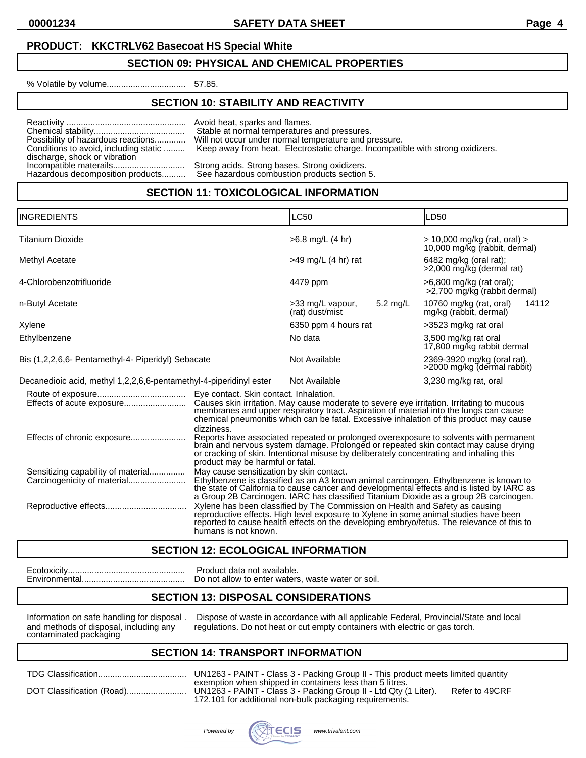**00001234 SAFETY DATA SHEET Page 4**

#### **PRODUCT: KKCTRLV62 Basecoat HS Special White**

#### **SECTION 09: PHYSICAL AND CHEMICAL PROPERTIES**

% Volatile by volume................................. 57.85.

#### **SECTION 10: STABILITY AND REACTIVITY**

Reactivity .................................................. Avoid heat, sparks and flames. discharge, shock or vibration<br>Incompatible materails..................................

Chemical stability...................................... Stable at normal temperatures and pressures. Will not occur under normal temperature and pressure. Conditions to avoid, including static ......... Keep away from heat. Electrostatic charge. Incompatible with strong oxidizers.

Incompatible materails.............................. Strong acids. Strong bases. Strong oxidizers. See hazardous combustion products section 5.

#### **SECTION 11: TOXICOLOGICAL INFORMATION**

| <b>INGREDIENTS</b>                                                                                   |                                                                                                                                                                                                                                                                                                                          | LC50                                |                    | LD <sub>50</sub>                                                                                                                                                                                                                                                               |  |
|------------------------------------------------------------------------------------------------------|--------------------------------------------------------------------------------------------------------------------------------------------------------------------------------------------------------------------------------------------------------------------------------------------------------------------------|-------------------------------------|--------------------|--------------------------------------------------------------------------------------------------------------------------------------------------------------------------------------------------------------------------------------------------------------------------------|--|
| <b>Titanium Dioxide</b>                                                                              |                                                                                                                                                                                                                                                                                                                          | $>6.8$ mg/L (4 hr)                  |                    | $>$ 10,000 mg/kg (rat, oral) $>$<br>10,000 mg/kg (rabbit, dermal)                                                                                                                                                                                                              |  |
| Methyl Acetate                                                                                       |                                                                                                                                                                                                                                                                                                                          | $>49$ mg/L (4 hr) rat               |                    | 6482 mg/kg (oral rat);<br>>2,000 mg/kg (dermal rat)                                                                                                                                                                                                                            |  |
| 4-Chlorobenzotrifluoride                                                                             |                                                                                                                                                                                                                                                                                                                          | 4479 ppm                            |                    | >6,800 mg/kg (rat oral);<br>>2,700 mg/kg (rabbit dermal)                                                                                                                                                                                                                       |  |
| n-Butyl Acetate                                                                                      |                                                                                                                                                                                                                                                                                                                          | >33 mg/L vapour,<br>(rat) dust/mist | $5.2 \text{ mg/L}$ | 10760 mg/kg (rat, oral)<br>14112<br>mg/kg (rabbit, dermal)                                                                                                                                                                                                                     |  |
| Xylene                                                                                               |                                                                                                                                                                                                                                                                                                                          | 6350 ppm 4 hours rat                |                    | >3523 mg/kg rat oral                                                                                                                                                                                                                                                           |  |
| Ethylbenzene                                                                                         |                                                                                                                                                                                                                                                                                                                          | No data                             |                    | 3,500 mg/kg rat oral<br>17,800 mg/kg rabbit dermal                                                                                                                                                                                                                             |  |
| Bis (1,2,2,6,6- Pentamethyl-4- Piperidyl) Sebacate                                                   |                                                                                                                                                                                                                                                                                                                          | Not Available                       |                    | 2369-3920 mg/kg (oral rat),<br>>2000 mg/kg (dermal rabbit)                                                                                                                                                                                                                     |  |
| Decanedioic acid, methyl 1,2,2,6,6-pentamethyl-4-piperidinyl ester                                   |                                                                                                                                                                                                                                                                                                                          | Not Available                       |                    | 3,230 mg/kg rat, oral                                                                                                                                                                                                                                                          |  |
|                                                                                                      | Eye contact. Skin contact. Inhalation.<br>dizziness.                                                                                                                                                                                                                                                                     |                                     |                    | Causes skin irritation. May cause moderate to severe eye irritation. Irritating to mucous<br>membranes and upper respiratory tract. Aspiration of material into the lungs can cause<br>chemical pneumonitis which can be fatal. Excessive inhalation of this product may cause |  |
| Effects of chronic exposure                                                                          | Reports have associated repeated or prolonged overexposure to solvents with permanent<br>brain and nervous system damage. Prolonged or repeated skin contact may cause drying<br>or cracking of skin. Intentional misuse by deliberately concentrating and inhaling this<br>product may be harmful or fatal.             |                                     |                    |                                                                                                                                                                                                                                                                                |  |
| Sensitizing capability of material<br>Carcinogenicity of material                                    | May cause sensitization by skin contact.<br>Ethylbenzene is classified as an A3 known animal carcinogen. Ethylbenzene is known to<br>the state of California to cause cancer and developmental effects and is listed by IARC as<br>a Group 2B Carcinogen. IARC has classified Titanium Dioxide as a group 2B carcinogen. |                                     |                    |                                                                                                                                                                                                                                                                                |  |
| Xylene has been classified by The Commission on Health and Safety as causing<br>humans is not known. |                                                                                                                                                                                                                                                                                                                          |                                     |                    | reproductive effects. High level exposure to Xylene in some animal studies have been<br>reported to cause health effects on the developing embryo/fetus. The relevance of this to                                                                                              |  |

#### **SECTION 12: ECOLOGICAL INFORMATION**

Ecotoxicity................................................. Product data not available.

Do not allow to enter waters, waste water or soil.

# **SECTION 13: DISPOSAL CONSIDERATIONS**

contaminated packaging

Information on safe handling for disposal . Dispose of waste in accordance with all applicable Federal, Provincial/State and local and collection on safe handling any requilations. Do not heat or cut empty containers with regulations. Do not heat or cut empty containers with electric or gas torch.

#### **SECTION 14: TRANSPORT INFORMATION**

|  | exempt<br>172 10 |
|--|------------------|

3 - PAINT - Class 3 - Packing Group II - This product meets limited quantity tion when shipped in containers less than 5 litres. 3 - PAINT - Class 3 - Packing Group II - Ltd Qty (1 Liter). Refer to 49CRF 172.101 for additional non-bulk packaging requirements.